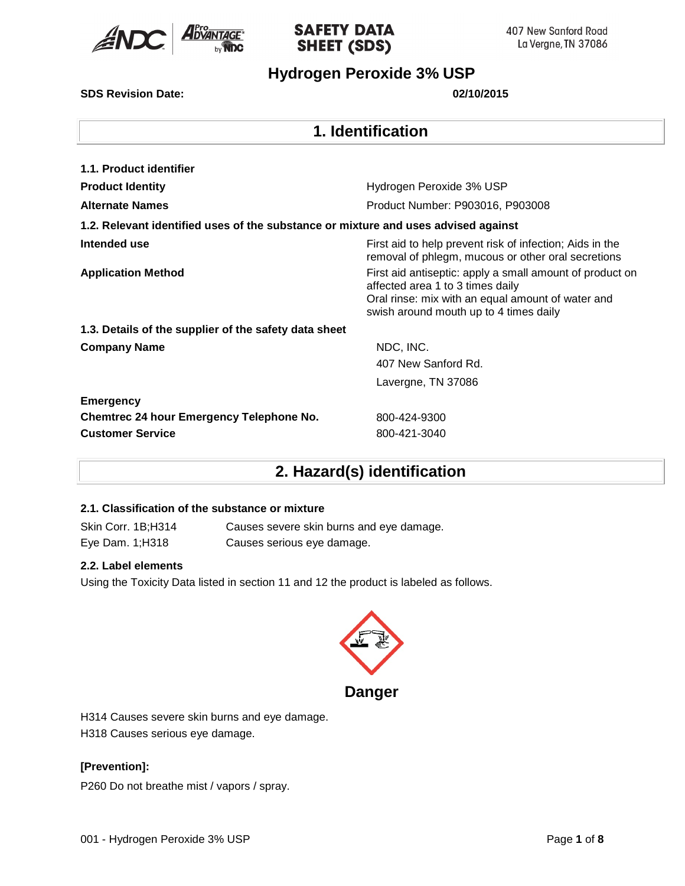

## **SAFETY DATA SHEET (SDS)**

## **Hydrogen Peroxide 3% USP**

#### **SDS Revision Date: 02/10/2015**

## **1. Identification**

| 1.1. Product identifier                                                                        |                                                                                                                                                                                             |
|------------------------------------------------------------------------------------------------|---------------------------------------------------------------------------------------------------------------------------------------------------------------------------------------------|
| <b>Product Identity</b>                                                                        | Hydrogen Peroxide 3% USP                                                                                                                                                                    |
| <b>Alternate Names</b>                                                                         | Product Number: P903016, P903008                                                                                                                                                            |
| 1.2. Relevant identified uses of the substance or mixture and uses advised against             |                                                                                                                                                                                             |
| Intended use                                                                                   | First aid to help prevent risk of infection; Aids in the<br>removal of phlegm, mucous or other oral secretions                                                                              |
| <b>Application Method</b>                                                                      | First aid antiseptic: apply a small amount of product on<br>affected area 1 to 3 times daily<br>Oral rinse: mix with an equal amount of water and<br>swish around mouth up to 4 times daily |
| 1.3. Details of the supplier of the safety data sheet                                          |                                                                                                                                                                                             |
| <b>Company Name</b>                                                                            | NDC, INC.<br>407 New Sanford Rd.<br>Lavergne, TN 37086                                                                                                                                      |
| <b>Emergency</b><br><b>Chemtrec 24 hour Emergency Telephone No.</b><br><b>Customer Service</b> | 800-424-9300<br>800-421-3040                                                                                                                                                                |

# **2. Hazard(s) identification**

### **2.1. Classification of the substance or mixture**

Skin Corr. 1B;H314 Causes severe skin burns and eye damage. Eye Dam. 1;H318 Causes serious eye damage.

#### **2.2. Label elements**

Using the Toxicity Data listed in section 11 and 12 the product is labeled as follows.



H314 Causes severe skin burns and eye damage. H318 Causes serious eye damage.

### **[Prevention]:**

P260 Do not breathe mist / vapors / spray.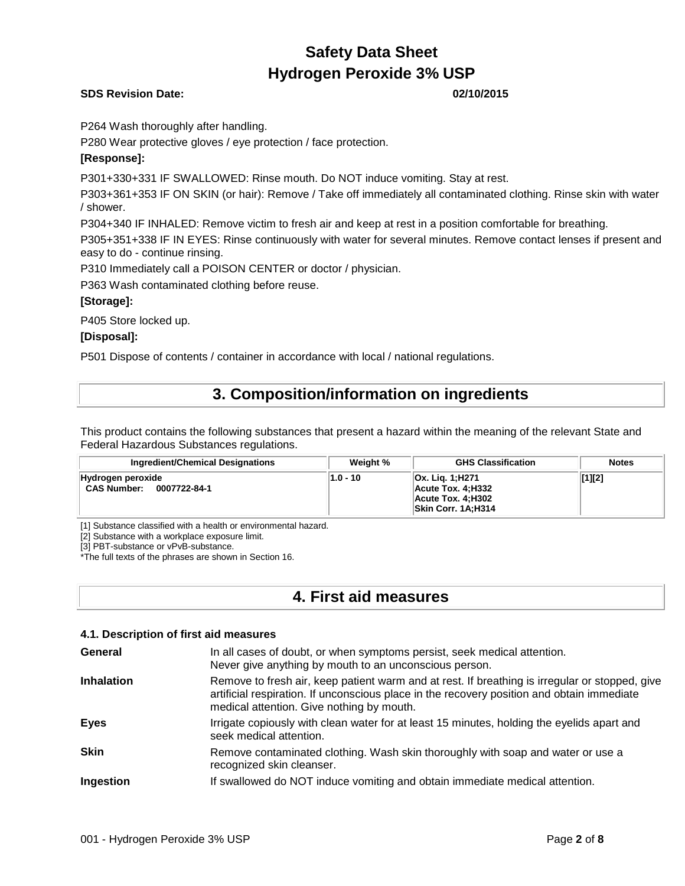### **SDS Revision Date: 02/10/2015**

P264 Wash thoroughly after handling.

P280 Wear protective gloves / eye protection / face protection.

#### **[Response]:**

P301+330+331 IF SWALLOWED: Rinse mouth. Do NOT induce vomiting. Stay at rest.

P303+361+353 IF ON SKIN (or hair): Remove / Take off immediately all contaminated clothing. Rinse skin with water / shower.

P304+340 IF INHALED: Remove victim to fresh air and keep at rest in a position comfortable for breathing.

P305+351+338 IF IN EYES: Rinse continuously with water for several minutes. Remove contact lenses if present and easy to do - continue rinsing.

P310 Immediately call a POISON CENTER or doctor / physician.

P363 Wash contaminated clothing before reuse.

#### **[Storage]:**

P405 Store locked up.

#### **[Disposal]:**

P501 Dispose of contents / container in accordance with local / national regulations.

## **3. Composition/information on ingredients**

This product contains the following substances that present a hazard within the meaning of the relevant State and Federal Hazardous Substances regulations.

| <b>Ingredient/Chemical Designations</b>                 | Weight %   | <b>GHS Classification</b>                                                        | <b>Notes</b> |
|---------------------------------------------------------|------------|----------------------------------------------------------------------------------|--------------|
| Hydrogen peroxide<br><b>CAS Number:</b><br>0007722-84-1 | $1.0 - 10$ | Ox. Lig. 1;H271<br>Acute Tox. 4; H332<br>Acute Tox. 4;H302<br>Skin Corr. 1A:H314 | [1][2]       |

[1] Substance classified with a health or environmental hazard.

[2] Substance with a workplace exposure limit.

[3] PBT-substance or vPvB-substance.

\*The full texts of the phrases are shown in Section 16.

## **4. First aid measures**

#### **4.1. Description of first aid measures**

| General           | In all cases of doubt, or when symptoms persist, seek medical attention.<br>Never give anything by mouth to an unconscious person.                                                                                                        |
|-------------------|-------------------------------------------------------------------------------------------------------------------------------------------------------------------------------------------------------------------------------------------|
| <b>Inhalation</b> | Remove to fresh air, keep patient warm and at rest. If breathing is irregular or stopped, give<br>artificial respiration. If unconscious place in the recovery position and obtain immediate<br>medical attention. Give nothing by mouth. |
| <b>Eyes</b>       | Irrigate copiously with clean water for at least 15 minutes, holding the eyelids apart and<br>seek medical attention.                                                                                                                     |
| <b>Skin</b>       | Remove contaminated clothing. Wash skin thoroughly with soap and water or use a<br>recognized skin cleanser.                                                                                                                              |
| Ingestion         | If swallowed do NOT induce vomiting and obtain immediate medical attention.                                                                                                                                                               |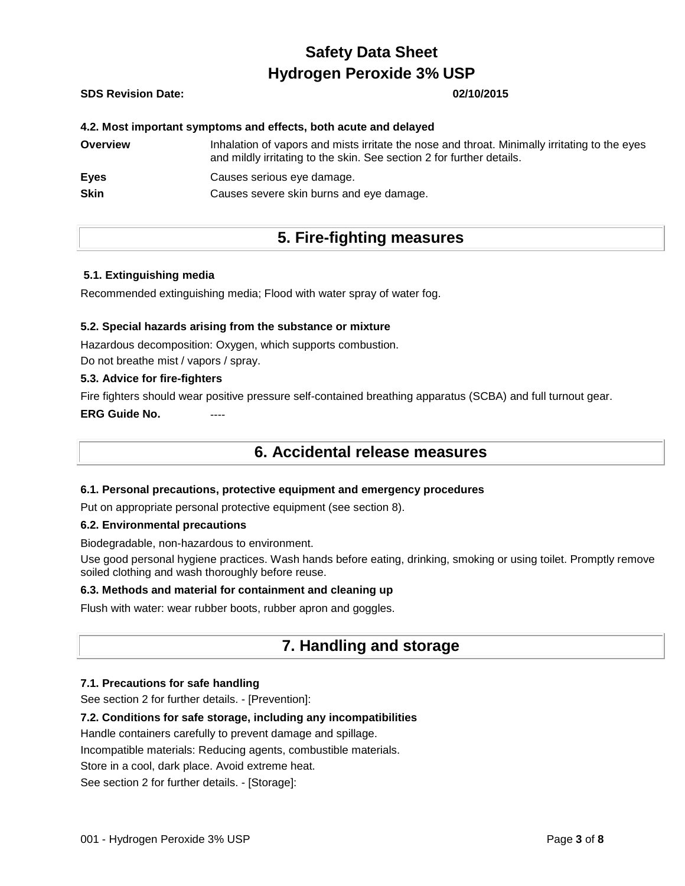**SDS Revision Date: 02/10/2015**

#### **4.2. Most important symptoms and effects, both acute and delayed**

| Overview    | Inhalation of vapors and mists irritate the nose and throat. Minimally irritating to the eyes<br>and mildly irritating to the skin. See section 2 for further details. |
|-------------|------------------------------------------------------------------------------------------------------------------------------------------------------------------------|
| <b>Eyes</b> | Causes serious eye damage.                                                                                                                                             |

**Skin** Causes severe skin burns and eye damage.

## **5. Fire-fighting measures**

#### **5.1. Extinguishing media**

Recommended extinguishing media; Flood with water spray of water fog.

#### **5.2. Special hazards arising from the substance or mixture**

Hazardous decomposition: Oxygen, which supports combustion.

Do not breathe mist / vapors / spray.

#### **5.3. Advice for fire-fighters**

Fire fighters should wear positive pressure self-contained breathing apparatus (SCBA) and full turnout gear. **ERG Guide No. ----**

## **6. Accidental release measures**

### **6.1. Personal precautions, protective equipment and emergency procedures**

Put on appropriate personal protective equipment (see section 8).

#### **6.2. Environmental precautions**

Biodegradable, non-hazardous to environment.

Use good personal hygiene practices. Wash hands before eating, drinking, smoking or using toilet. Promptly remove soiled clothing and wash thoroughly before reuse.

#### **6.3. Methods and material for containment and cleaning up**

Flush with water: wear rubber boots, rubber apron and goggles.

## **7. Handling and storage**

#### **7.1. Precautions for safe handling**

See section 2 for further details. - [Prevention]:

#### **7.2. Conditions for safe storage, including any incompatibilities**

Handle containers carefully to prevent damage and spillage.

Incompatible materials: Reducing agents, combustible materials.

Store in a cool, dark place. Avoid extreme heat.

See section 2 for further details. - [Storage]: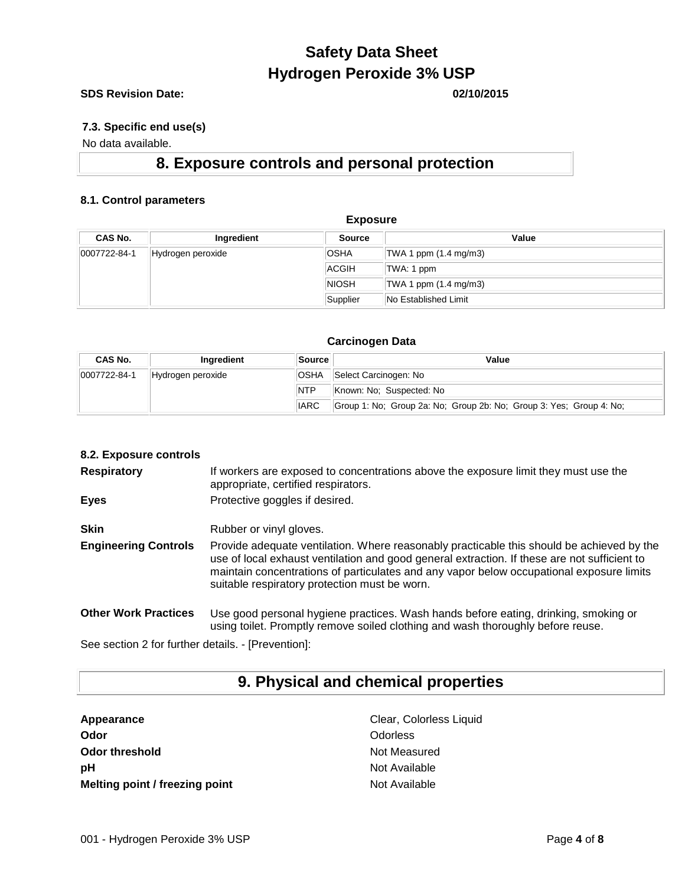### **SDS Revision Date: 02/10/2015**

#### **7.3. Specific end use(s)**

No data available.

## **8. Exposure controls and personal protection**

#### **8.1. Control parameters**

| ---------    |                   |               |                         |  |
|--------------|-------------------|---------------|-------------------------|--|
| CAS No.      | Ingredient        | <b>Source</b> | Value                   |  |
| 0007722-84-1 | Hydrogen peroxide | <b>OSHA</b>   | TWA 1 ppm (1.4 mg/m3)   |  |
|              |                   | ACGIH         | TWA: 1 ppm              |  |
|              |                   | <b>NIOSH</b>  | $TWA$ 1 ppm (1.4 mg/m3) |  |
|              |                   | Supplier      | No Established Limit    |  |
|              |                   |               |                         |  |

**Exposure**

### **Carcinogen Data**

| <b>CAS No.</b> | Inaredient        | Source      | Value                                                               |
|----------------|-------------------|-------------|---------------------------------------------------------------------|
| 0007722-84-1   | Hydrogen peroxide | 'OSHA       | Select Carcinogen: No                                               |
|                |                   | <b>NTP</b>  | Known: No: Suspected: No                                            |
|                |                   | <b>IARC</b> | Group 1: No: Group 2a: No: Group 2b: No: Group 3: Yes: Group 4: No: |

### **8.2. Exposure controls**

| <b>Respiratory</b>          | If workers are exposed to concentrations above the exposure limit they must use the<br>appropriate, certified respirators.                                                                                                                                                                                                             |
|-----------------------------|----------------------------------------------------------------------------------------------------------------------------------------------------------------------------------------------------------------------------------------------------------------------------------------------------------------------------------------|
| <b>Eyes</b>                 | Protective goggles if desired.                                                                                                                                                                                                                                                                                                         |
| <b>Skin</b>                 | Rubber or vinyl gloves.                                                                                                                                                                                                                                                                                                                |
| <b>Engineering Controls</b> | Provide adequate ventilation. Where reasonably practicable this should be achieved by the<br>use of local exhaust ventilation and good general extraction. If these are not sufficient to<br>maintain concentrations of particulates and any vapor below occupational exposure limits<br>suitable respiratory protection must be worn. |
| <b>Other Work Practices</b> | Use good personal hygiene practices. Wash hands before eating, drinking, smoking or                                                                                                                                                                                                                                                    |

using toilet. Promptly remove soiled clothing and wash thoroughly before reuse.

See section 2 for further details. - [Prevention]:

## **9. Physical and chemical properties**

| Appearance                     |
|--------------------------------|
| Odor                           |
| <b>Odor threshold</b>          |
| рH                             |
| Melting point / freezing point |

**Clear, Colorless Liquid Odor** Odorless **Not Measured Not Available Not Available**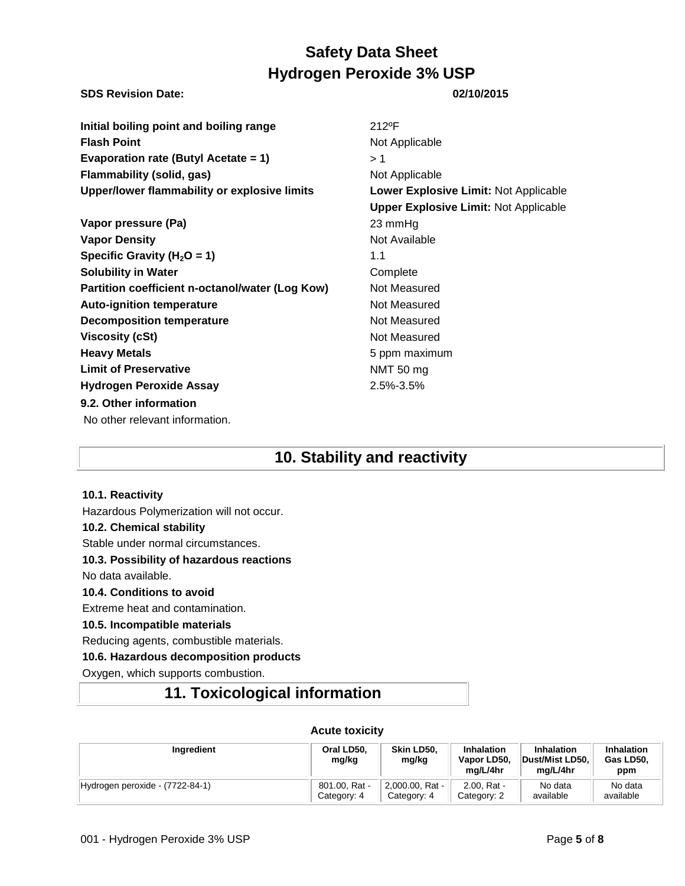### **SDS Revision Date: 02/10/2015**

**Initial boiling point and boiling range** 212ºF **Flash Point** Not Applicable **Evaporation rate (Butyl Acetate = 1)** > 1 **Flammability (solid, gas)** Not Applicable **Upper/lower flammability or explosive limits Lower Explosive Limit:** Not Applicable

**Vapor pressure (Pa)** 23 mmHg **Vapor Density Not Available** Not Available **Specific Gravity (H<sub>2</sub>O = 1) 1.1 Solubility in Water** Complete **Partition coefficient n-octanol/water (Log Kow)** Not Measured **Auto-ignition temperature Not Measured Not Measured Decomposition temperature** Not Measured **Viscosity (cSt)** Not Measured **Heavy Metals Example 2 and 2 ppm maximum** 5 ppm maximum **Limit of Preservative Community Community Community Community Community Community Community Community Community Hydrogen Peroxide Assay** 2.5%-3.5% **9.2. Other information** No other relevant information.

**Upper Explosive Limit:** Not Applicable

## **10. Stability and reactivity**

### **10.1. Reactivity**

Hazardous Polymerization will not occur.

### **10.2. Chemical stability**

Stable under normal circumstances.

### **10.3. Possibility of hazardous reactions**

No data available.

### **10.4. Conditions to avoid**

Extreme heat and contamination.

### **10.5. Incompatible materials**

Reducing agents, combustible materials.

### **10.6. Hazardous decomposition products**

Oxygen, which supports combustion.

## **11. Toxicological information**

### **Acute toxicity**

| Ingredient                      | Oral LD50.<br>mg/kg | Skin LD50.<br>mg/kg | Inhalation<br>Vapor LD50.<br>ma/L/4hr | Inhalation<br>Dust/Mist LD50.<br>ma/L/4hr | <b>Inhalation</b><br>Gas LD50.<br>ppm |
|---------------------------------|---------------------|---------------------|---------------------------------------|-------------------------------------------|---------------------------------------|
| Hydrogen peroxide - (7722-84-1) | 801.00, Rat -       | 2.000.00, Rat -     | 2.00, Rat -                           | No data                                   | No data                               |
|                                 | Category: 4         | Category: 4         | Category: 2                           | available                                 | available                             |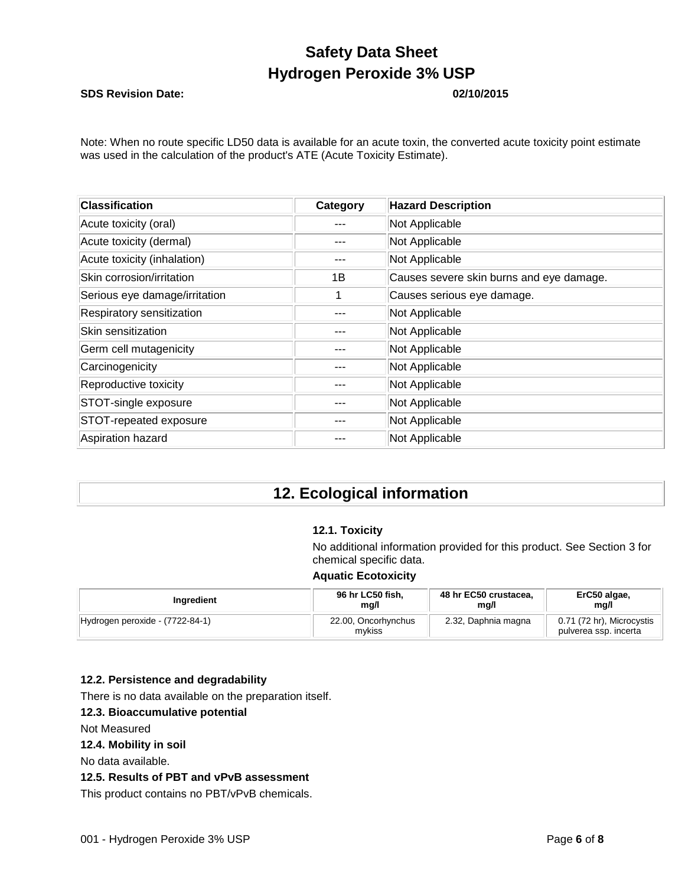#### **SDS Revision Date: 02/10/2015**

Note: When no route specific LD50 data is available for an acute toxin, the converted acute toxicity point estimate was used in the calculation of the product's ATE (Acute Toxicity Estimate).

| <b>Classification</b>         | Category | <b>Hazard Description</b>                |
|-------------------------------|----------|------------------------------------------|
| Acute toxicity (oral)         |          | Not Applicable                           |
| Acute toxicity (dermal)       |          | Not Applicable                           |
| Acute toxicity (inhalation)   |          | Not Applicable                           |
| Skin corrosion/irritation     | 1B       | Causes severe skin burns and eye damage. |
| Serious eye damage/irritation | 1        | Causes serious eye damage.               |
| Respiratory sensitization     |          | Not Applicable                           |
| Skin sensitization            |          | Not Applicable                           |
| Germ cell mutagenicity        |          | Not Applicable                           |
| Carcinogenicity               |          | Not Applicable                           |
| Reproductive toxicity         |          | Not Applicable                           |
| STOT-single exposure          |          | Not Applicable                           |
| STOT-repeated exposure        |          | Not Applicable                           |
| Aspiration hazard             |          | Not Applicable                           |

## **12. Ecological information**

### **12.1. Toxicity**

No additional information provided for this product. See Section 3 for chemical specific data.

#### **Aquatic Ecotoxicity**

| Ingredient                      | 96 hr LC50 fish,              | 48 hr EC50 crustacea. | ErC50 algae,                                       |
|---------------------------------|-------------------------------|-----------------------|----------------------------------------------------|
|                                 | mg/l                          | ma/l                  | mg/l                                               |
| Hydrogen peroxide - (7722-84-1) | 22.00, Oncorhynchus<br>mvkiss | 2.32, Daphnia magna   | 0.71 (72 hr), Microcystis<br>pulverea ssp. incerta |

#### **12.2. Persistence and degradability**

There is no data available on the preparation itself.

#### **12.3. Bioaccumulative potential**

Not Measured

### **12.4. Mobility in soil**

No data available.

### **12.5. Results of PBT and vPvB assessment**

This product contains no PBT/vPvB chemicals.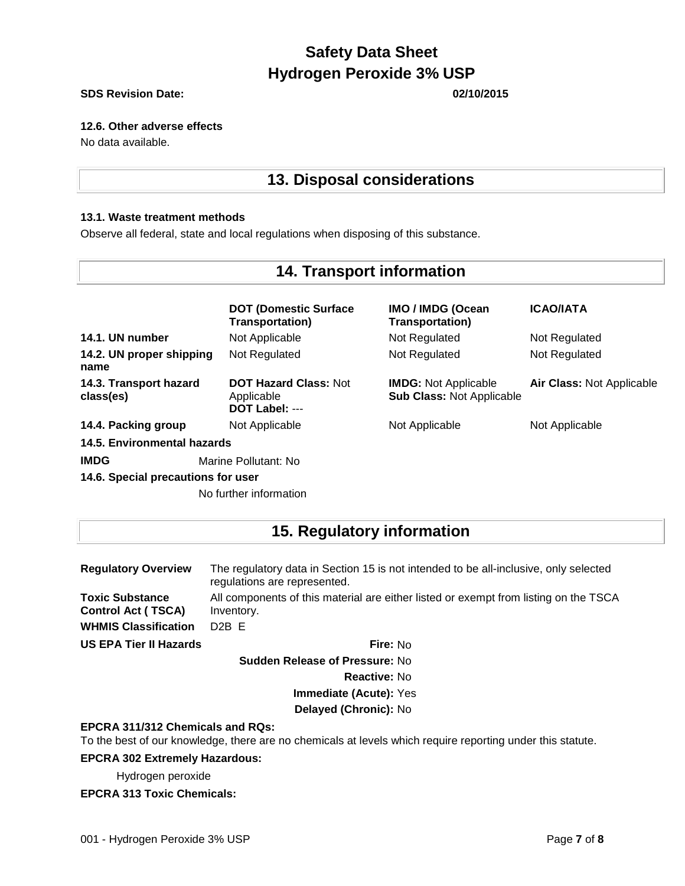#### **SDS Revision Date: 02/10/2015**

#### **12.6. Other adverse effects**

No data available.

## **13. Disposal considerations**

### **13.1. Waste treatment methods**

Observe all federal, state and local regulations when disposing of this substance.

| <b>14. Transport information</b>    |                                                              |                                                                 |                           |  |  |
|-------------------------------------|--------------------------------------------------------------|-----------------------------------------------------------------|---------------------------|--|--|
|                                     | <b>DOT (Domestic Surface)</b><br>Transportation)             | <b>IMO / IMDG (Ocean</b><br><b>Transportation)</b>              | <b>ICAO/IATA</b>          |  |  |
| 14.1. UN number                     | Not Applicable                                               | Not Regulated                                                   | Not Regulated             |  |  |
| 14.2. UN proper shipping<br>name    | Not Regulated                                                | Not Regulated                                                   | Not Regulated             |  |  |
| 14.3. Transport hazard<br>class(es) | <b>DOT Hazard Class: Not</b><br>Applicable<br>DOT Label: --- | <b>IMDG:</b> Not Applicable<br><b>Sub Class: Not Applicable</b> | Air Class: Not Applicable |  |  |
| 14.4. Packing group                 | Not Applicable                                               | Not Applicable                                                  | Not Applicable            |  |  |
| 14.5. Environmental hazards         |                                                              |                                                                 |                           |  |  |
| <b>IMDG</b>                         | Marine Pollutant: No                                         |                                                                 |                           |  |  |
| 14.6. Special precautions for user  |                                                              |                                                                 |                           |  |  |
|                                     | No further information                                       |                                                                 |                           |  |  |

## **15. Regulatory information**

| <b>Regulatory Overview</b>                          | The regulatory data in Section 15 is not intended to be all-inclusive, only selected<br>regulations are represented. |
|-----------------------------------------------------|----------------------------------------------------------------------------------------------------------------------|
| <b>Toxic Substance</b><br><b>Control Act (TSCA)</b> | All components of this material are either listed or exempt from listing on the TSCA<br>Inventory.                   |
| <b>WHMIS Classification</b>                         | D <sub>2</sub> B E                                                                                                   |
| <b>US EPA Tier II Hazards</b>                       | <b>Fire: No</b>                                                                                                      |
|                                                     | <b>Sudden Release of Pressure: No</b>                                                                                |
|                                                     | <b>Reactive: No</b>                                                                                                  |
|                                                     | <b>Immediate (Acute):</b> Yes                                                                                        |
|                                                     | <b>Delayed (Chronic): No</b>                                                                                         |

#### **EPCRA 311/312 Chemicals and RQs:**

To the best of our knowledge, there are no chemicals at levels which require reporting under this statute.

### **EPCRA 302 Extremely Hazardous:**

Hydrogen peroxide

#### **EPCRA 313 Toxic Chemicals:**